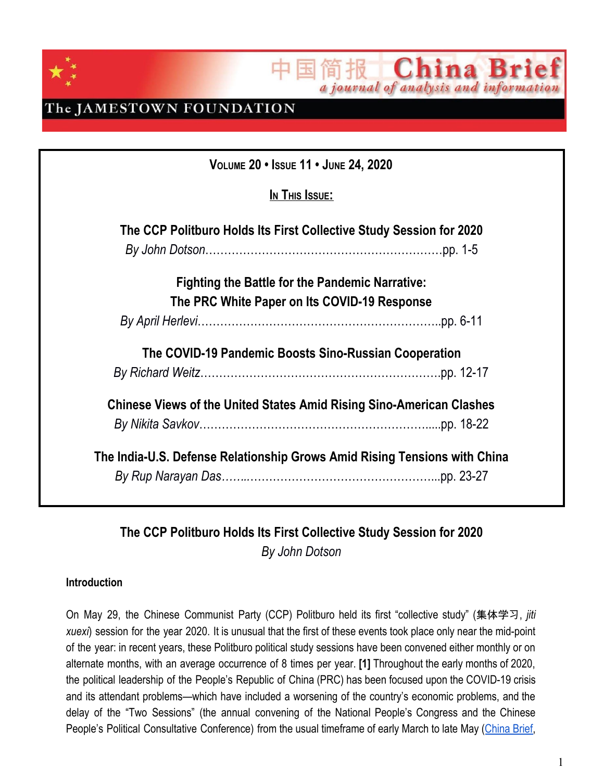

China Bri 间报 a journal of analysis and information

### The JAMESTOWN FOUNDATION

| VOLUME 20 . ISSUE 11 . JUNE 24, 2020                                        |  |  |  |
|-----------------------------------------------------------------------------|--|--|--|
| In This Issue:                                                              |  |  |  |
| The CCP Politburo Holds Its First Collective Study Session for 2020         |  |  |  |
|                                                                             |  |  |  |
| <b>Fighting the Battle for the Pandemic Narrative:</b>                      |  |  |  |
| The PRC White Paper on Its COVID-19 Response                                |  |  |  |
|                                                                             |  |  |  |
| The COVID-19 Pandemic Boosts Sino-Russian Cooperation                       |  |  |  |
|                                                                             |  |  |  |
| <b>Chinese Views of the United States Amid Rising Sino-American Clashes</b> |  |  |  |
|                                                                             |  |  |  |
| The India-U.S. Defense Relationship Grows Amid Rising Tensions with China   |  |  |  |
|                                                                             |  |  |  |

### **The CCP Politburo Holds Its First Collective Study Session for 2020** *By John Dotson*

#### **Introduction**

On May 29, the Chinese Communist Party (CCP) Politburo held its first "collective study" (集体学习, *jiti xuexi*) session for the year 2020. It is unusual that the first of these events took place only near the mid-point of the year: in recent years, these Politburo political study sessions have been convened either monthly or on alternate months, with an average occurrence of 8 times per year. **[1]** Throughout the early months of 2020, the political leadership of the People's Republic of China (PRC) has been focused upon the COVID-19 crisis and its attendant problems—which have included a worsening of the country's economic problems, and the delay of the "Two Sessions" (the annual convening of the National People's Congress and the Chinese People's Political Consultative Conference) from the usual timeframe of early March to late May ([China](https://jamestown.org/program/jamestown-early-warning-brief-beijing-announces-its-intention-to-impose-a-new-national-security-law-on-hong-kong/) Brief,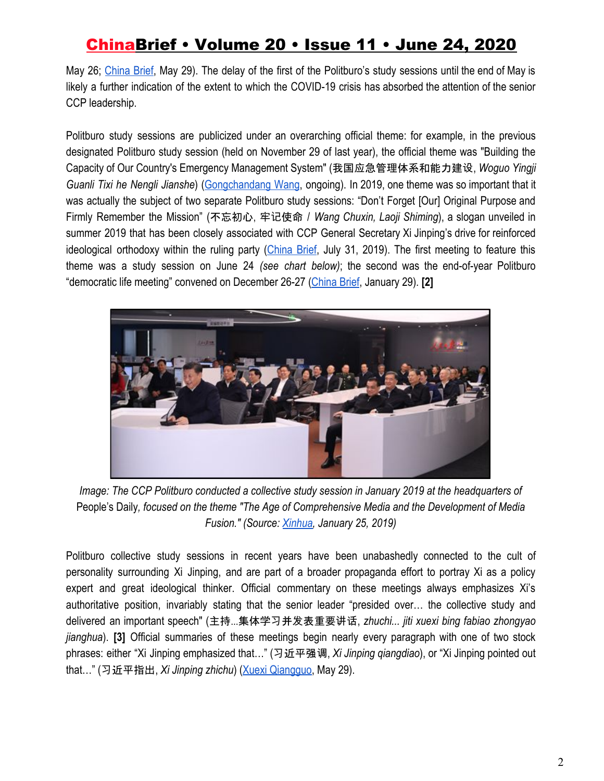May 26; [China](https://jamestown.org/program/themes-from-the-cppcc-signal-the-end-of-hong-kong-autonomy-and-the-effective-end-of-the-one-country-two-systems-framework/) Brief, May 29). The delay of the first of the Politburo's study sessions until the end of May is likely a further indication of the extent to which the COVID-19 crisis has absorbed the attention of the senior CCP leadership.

Politburo study sessions are publicized under an overarching official theme: for example, in the previous designated Politburo study session (held on November 29 of last year), the official theme was "Building the Capacity of Our Country's Emergency Management System" (我国应急管理体系和能力建设, *Woguo Yingji Guanli Tixi he Nengli Jianshe*) ([Gongchandang](http://www.12371.cn/special/lnzzjjtxx/) Wang, ongoing). In 2019, one theme was so important that it was actually the subject of two separate Politburo study sessions: "Don't Forget [Our] Original Purpose and Firmly Remember the Mission" (不忘初心, 牢记使命 / *Wang Chuxin, Laoji Shiming*), a slogan unveiled in summer 2019 that has been closely associated with CCP General Secretary Xi Jinping's drive for reinforced ideological orthodoxy within the ruling party ([China](https://jamestown.org/program/xi-jinping-evokes-the-original-aspirations-of-the-communist-party-while-seeking-to-further-consolidate-his-hold-on-power/) Brief, July 31, 2019). The first meeting to feature this theme was a study session on June 24 *(see chart below)*; the second was the end-of-year Politburo "democratic life meeting" convened on December 26-27 ([China Brief](https://jamestown.org/program/the-democratic-life-meetings-of-the-chinese-communist-party-politburo/), January 29). **[2]**



*Image: The CCP Politburo conducted a collective study session in January 2019 at the headquarters of* People's Daily*, focused on the theme "The Age of Comprehensive Media and the Development of Media Fusion." (Source: [Xinhua](http://www.gov.cn/xinwen/2019-01/25/content_5361197.htm), January 25, 2019)*

Politburo collective study sessions in recent years have been unabashedly connected to the cult of personality surrounding Xi Jinping, and are part of a broader propaganda effort to portray Xi as a policy expert and great ideological thinker. Official commentary on these meetings always emphasizes Xi's authoritative position, invariably stating that the senior leader "presided over… the collective study and delivered an important speech" (主持...集体学习并发表重要讲话, *zhuchi... jiti xuexi bing fabiao zhongyao jianghua*). **[3]** Official summaries of these meetings begin nearly every paragraph with one of two stock phrases: either "Xi Jinping emphasized that…" (习近平强调, *Xi Jinping qiangdiao*), or "Xi Jinping pointed out that…" (习近平指出, *Xi Jinping zhichu*) [\(Xuexi Qiangguo](https://www.xuexi.cn/lgpage/detail/index.html?id=14122828678704046265&item_id=14122828678704046265), May 29).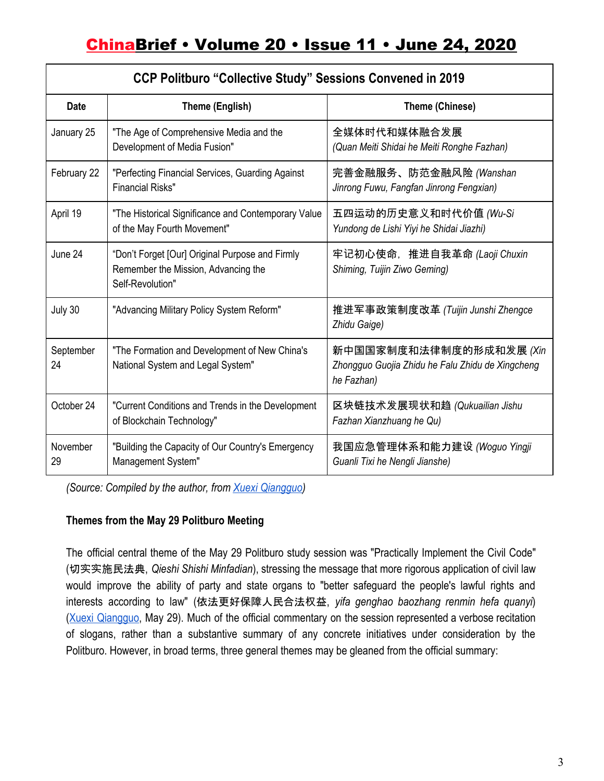| <b>CCP Politburo "Collective Study" Sessions Convened in 2019</b> |                                                                                                            |                                                                                           |
|-------------------------------------------------------------------|------------------------------------------------------------------------------------------------------------|-------------------------------------------------------------------------------------------|
| <b>Date</b>                                                       | Theme (English)                                                                                            | Theme (Chinese)                                                                           |
| January 25                                                        | "The Age of Comprehensive Media and the<br>Development of Media Fusion"                                    | 全媒体时代和媒体融合发展<br>(Quan Meiti Shidai he Meiti Ronghe Fazhan)                                |
| February 22                                                       | "Perfecting Financial Services, Guarding Against<br><b>Financial Risks"</b>                                | 完善金融服务、防范金融风险 (Wanshan<br>Jinrong Fuwu, Fangfan Jinrong Fengxian)                         |
| April 19                                                          | "The Historical Significance and Contemporary Value<br>of the May Fourth Movement"                         | 五四运动的历史意义和时代价值 <i>(Wu-</i> Si<br>Yundong de Lishi Yiyi he Shidai Jiazhi)                  |
| June 24                                                           | "Don't Forget [Our] Original Purpose and Firmly<br>Remember the Mission, Advancing the<br>Self-Revolution" | 牢记初心使命, 推进自我革命 (Laoji Chuxin<br>Shiming, Tuijin Ziwo Geming)                              |
| July 30                                                           | "Advancing Military Policy System Reform"                                                                  | 推进军事政策制度改革 (Tuijin Junshi Zhengce<br>Zhidu Gaige)                                         |
| September<br>24                                                   | "The Formation and Development of New China's<br>National System and Legal System"                         | 新中国国家制度和法律制度的形成和发展 (Xin<br>Zhongguo Guojia Zhidu he Falu Zhidu de Xingcheng<br>he Fazhan) |
| October 24                                                        | "Current Conditions and Trends in the Development<br>of Blockchain Technology"                             | 区块链技术发展现状和趋 (Qukuailian Jishu<br>Fazhan Xianzhuang he Qu)                                 |
| November<br>29                                                    | "Building the Capacity of Our Country's Emergency<br>Management System"                                    | 我国应急管理体系和能力建设 (Woguo Yingji<br>Guanli Tixi he Nengli Jianshe)                             |

*(Source: Compiled by the author, from [Xuexi Qiangguo\)](https://www.xuexi.cn/9bc28239c691139fe0bdbd0f38126f8c/9a3668c13f6e303932b5e0e100fc248b.html)*

### **Themes from the May 29 Politburo Meeting**

The official central theme of the May 29 Politburo study session was "Practically Implement the Civil Code" (切实实施民法典, *Qieshi Shishi Minfadian*), stressing the message that more rigorous application of civil law would improve the ability of party and state organs to "better safeguard the people's lawful rights and interests according to law" (依法更好保障人民合法权益, *yifa genghao baozhang renmin hefa quanyi*) (Xuexi [Qiangguo](https://www.xuexi.cn/lgpage/detail/index.html?id=14122828678704046265&item_id=14122828678704046265), May 29). Much of the official commentary on the session represented a verbose recitation of slogans, rather than a substantive summary of any concrete initiatives under consideration by the Politburo. However, in broad terms, three general themes may be gleaned from the official summary: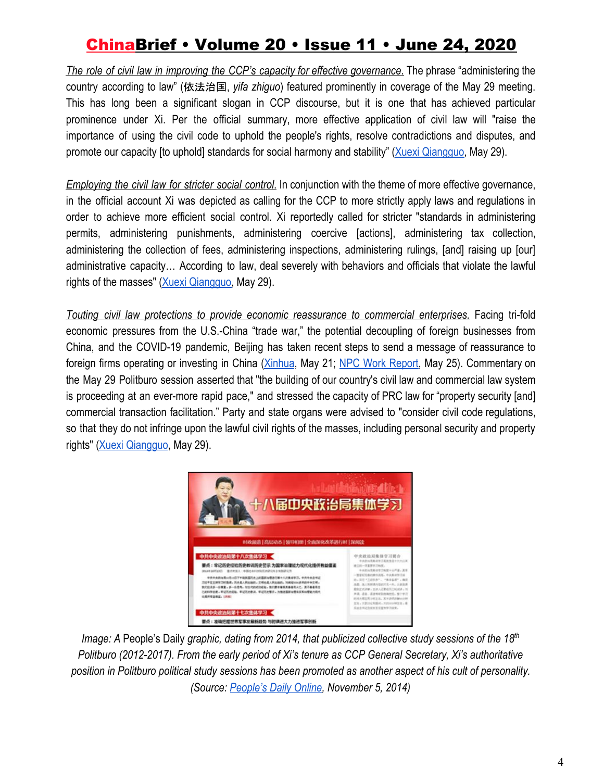*The role of civil law in improving the CCP's capacity for effective governance*. The phrase "administering the country according to law" (依法治国, *yifa zhiguo*) featured prominently in coverage of the May 29 meeting. This has long been a significant slogan in CCP discourse, but it is one that has achieved particular prominence under Xi. Per the official summary, more effective application of civil law will "raise the importance of using the civil code to uphold the people's rights, resolve contradictions and disputes, and promote our capacity [to uphold] standards for social harmony and stability" [\(Xuexi Qiangguo,](https://www.xuexi.cn/lgpage/detail/index.html?id=14122828678704046265&item_id=14122828678704046265) May 29).

*Employing the civil law for stricter social control*. In conjunction with the theme of more effective governance, in the official account Xi was depicted as calling for the CCP to more strictly apply laws and regulations in order to achieve more efficient social control. Xi reportedly called for stricter "standards in administering permits, administering punishments, administering coercive [actions], administering tax collection, administering the collection of fees, administering inspections, administering rulings, [and] raising up [our] administrative capacity… According to law, deal severely with behaviors and officials that violate the lawful rights of the masses" [\(Xuexi Qiangguo,](https://www.xuexi.cn/lgpage/detail/index.html?id=14122828678704046265&item_id=14122828678704046265) May 29).

*Touting civil law protections to provide economic reassurance to commercial enterprises.* Facing tri-fold economic pressures from the U.S.-China "trade war," the potential decoupling of foreign businesses from China, and the COVID-19 pandemic, Beijing has taken recent steps to send a message of reassurance to foreign firms operating or investing in China [\(Xinhua](http://www.xinhuanet.com/english/2020-05/21/c_139076447.htm), May 21; NPC Work [Report](http://www.npc.gov.cn/englishnpc/c23934/202006/946d17be389c41ff88f7b1b74e7c0bd6/files/88f79a6c394e42d89948327a71dc6fcf.pdf), May 25). Commentary on the May 29 Politburo session asserted that "the building of our country's civil law and commercial law system is proceeding at an ever-more rapid pace," and stressed the capacity of PRC law for "property security [and] commercial transaction facilitation." Party and state organs were advised to "consider civil code regulations, so that they do not infringe upon the lawful civil rights of the masses, including personal security and property rights" [\(Xuexi Qiangguo](https://www.xuexi.cn/lgpage/detail/index.html?id=14122828678704046265&item_id=14122828678704046265), May 29).



*Image: A* People's Daily *graphic, dating from 2014, that publicized collective study sessions of the 18th Politburo (2012-2017). From the early period of Xi's tenure as CCP General Secretary, Xi's authoritative position in Politburo political study sessions has been promoted as another aspect of his cult of personality. (Source[:](http://gd.people.com.cn/BIG5/n/2014/1105/c123932-22820141.html) [People's Daily Online](http://gd.people.com.cn/BIG5/n/2014/1105/c123932-22820141.html), November 5, 2014)*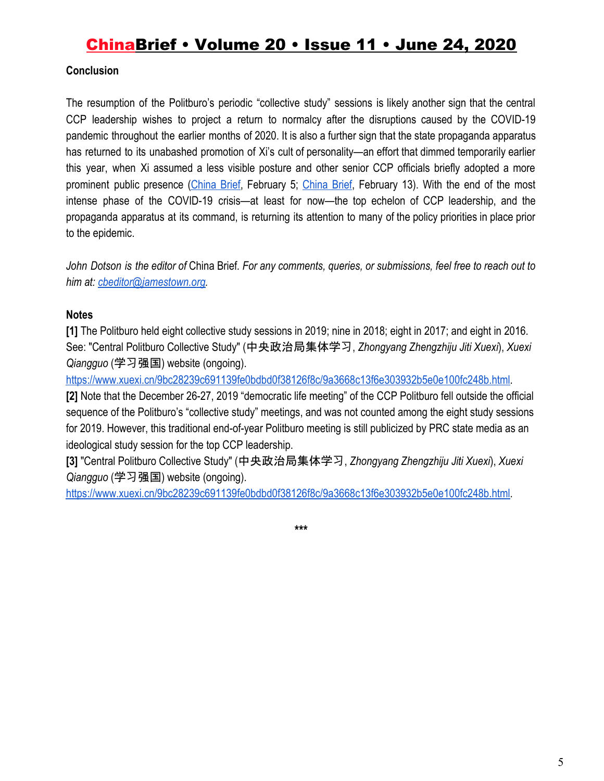### **Conclusion**

The resumption of the Politburo's periodic "collective study" sessions is likely another sign that the central CCP leadership wishes to project a return to normalcy after the disruptions caused by the COVID-19 pandemic throughout the earlier months of 2020. It is also a further sign that the state propaganda apparatus has returned to its unabashed promotion of Xi's cult of personality—an effort that dimmed temporarily earlier this year, when Xi assumed a less visible posture and other senior CCP officials briefly adopted a more prominent public presence ([China](https://jamestown.org/program/the-ccps-new-leading-small-group-for-countering-the-coronavirus-epidemic-and-the-mysterious-absence-of-xi-jinping/) Brief, February 5[;](https://jamestown.org/program/how-the-wuhan-epidemic-has-dented-xi-jinpings-authority-and-prestige/) [China](https://jamestown.org/program/how-the-wuhan-epidemic-has-dented-xi-jinpings-authority-and-prestige/) Brief, February 13). With the end of the most intense phase of the COVID-19 crisis—at least for now—the top echelon of CCP leadership, and the propaganda apparatus at its command, is returning its attention to many of the policy priorities in place prior to the epidemic.

John Dotson is the editor of China Brief. For any comments, queries, or submissions, feel free to reach out to *him at: [cbeditor@jamestown.org](mailto:cbeditor@jamestown.org).*

#### **Notes**

**[1]** The Politburo held eight collective study sessions in 2019; nine in 2018; eight in 2017; and eight in 2016. See: "Central Politburo Collective Study" (中央政治局集体学习, *Zhongyang Zhengzhiju Jiti Xuexi*), *Xuexi Qiangguo* (学习强国) website (ongoing)[.](https://www.xuexi.cn/9bc28239c691139fe0bdbd0f38126f8c/9a3668c13f6e303932b5e0e100fc248b.html)

[https://www.xuexi.cn/9bc28239c691139fe0bdbd0f38126f8c/9a3668c13f6e303932b5e0e100fc248b.html.](https://www.xuexi.cn/9bc28239c691139fe0bdbd0f38126f8c/9a3668c13f6e303932b5e0e100fc248b.html)

**[2]** Note that the December 26-27, 2019 "democratic life meeting" of the CCP Politburo fell outside the official sequence of the Politburo's "collective study" meetings, and was not counted among the eight study sessions for 2019. However, this traditional end-of-year Politburo meeting is still publicized by PRC state media as an ideological study session for the top CCP leadership.

**[3]** "Central Politburo Collective Study" (中央政治局集体学习, *Zhongyang Zhengzhiju Jiti Xuexi*), *Xuexi Qiangguo* (学习强国) website (ongoing)[.](https://www.xuexi.cn/9bc28239c691139fe0bdbd0f38126f8c/9a3668c13f6e303932b5e0e100fc248b.html)

[https://www.xuexi.cn/9bc28239c691139fe0bdbd0f38126f8c/9a3668c13f6e303932b5e0e100fc248b.html.](https://www.xuexi.cn/9bc28239c691139fe0bdbd0f38126f8c/9a3668c13f6e303932b5e0e100fc248b.html)

**\*\*\***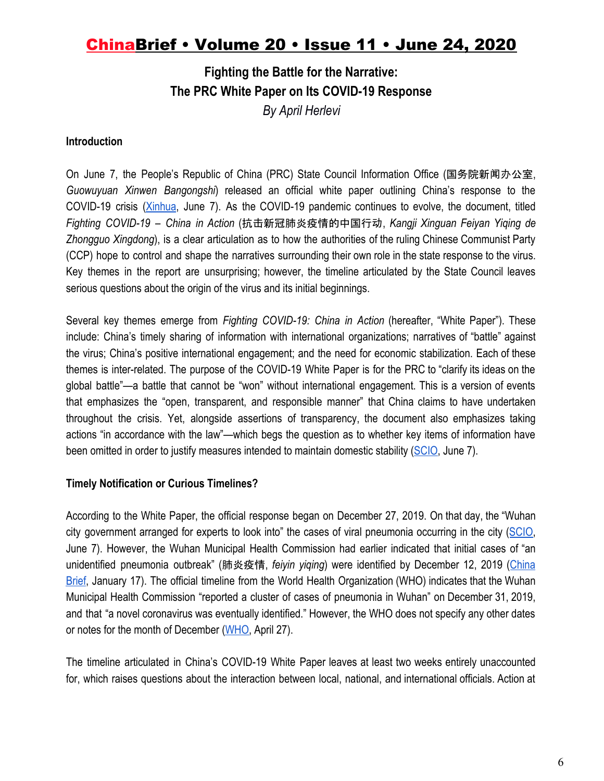### **Fighting the Battle for the Narrative: The PRC White Paper on Its COVID-19 Response** *By April Herlevi*

#### **Introduction**

On June 7, the People's Republic of China (PRC) State Council Information Office (国务院新闻办公室, *Guowuyuan Xinwen Bangongshi*) released an official white paper outlining China's response to the COVID-19 crisis [\(Xinhua](http://www.xinhuanet.com/english/2020-06/07/c_139121660.htm), June 7). As the COVID-19 pandemic continues to evolve, the document, titled *Fighting COVID-19 – China in Action* (抗击新冠肺炎疫情的中国行动, *Kangji Xinguan Feiyan Yiqing de Zhongguo Xingdong*), is a clear articulation as to how the authorities of the ruling Chinese Communist Party (CCP) hope to control and shape the narratives surrounding their own role in the state response to the virus. Key themes in the report are unsurprising; however, the timeline articulated by the State Council leaves serious questions about the origin of the virus and its initial beginnings.

Several key themes emerge from *Fighting COVID-19: China in Action* (hereafter, "White Paper"). These include: China's timely sharing of information with international organizations; narratives of "battle" against the virus; China's positive international engagement; and the need for economic stabilization. Each of these themes is inter-related. The purpose of the COVID-19 White Paper is for the PRC to "clarify its ideas on the global battle"—a battle that cannot be "won" without international engagement. This is a version of events that emphasizes the "open, transparent, and responsible manner" that China claims to have undertaken throughout the crisis. Yet, alongside assertions of transparency, the document also emphasizes taking actions "in accordance with the law"—which begs the question as to whether key items of information have been omitted in order to justify measures intended to maintain domestic stability ([SCIO,](http://english.scio.gov.cn/whitepapers/2020-06/07/content_76135269_7.htm) June 7).

#### **Timely Notification or Curious Timelines?**

According to the White Paper, the official response began on December 27, 2019. On that day, the "Wuhan city government arranged for experts to look into" the cases of viral pneumonia occurring in the city ([SCIO,](http://english.scio.gov.cn/whitepapers/2020-06/07/content_76135269_7.htm) June 7). However, the Wuhan Municipal Health Commission had earlier indicated that initial cases of "an unidentified pneumonia outbreak" (肺炎疫情, *feiyin yiqing*) were identified by December 12, 2019 ([China](https://jamestown.org/program/the-state-response-to-a-mystery-viral-outbreak-in-central-china/?mc_cid=7c035be800&mc_eid=5470058e28) [Brief](https://jamestown.org/program/the-state-response-to-a-mystery-viral-outbreak-in-central-china/?mc_cid=7c035be800&mc_eid=5470058e28), January 17). The official timeline from the World Health Organization (WHO) indicates that the Wuhan Municipal Health Commission "reported a cluster of cases of pneumonia in Wuhan" on December 31, 2019, and that "a novel coronavirus was eventually identified." However, the WHO does not specify any other dates or notes for the month of December [\(WHO,](https://www.who.int/news-room/detail/27-04-2020-who-timeline---covid-19) April 27).

The timeline articulated in China's COVID-19 White Paper leaves at least two weeks entirely unaccounted for, which raises questions about the interaction between local, national, and international officials. Action at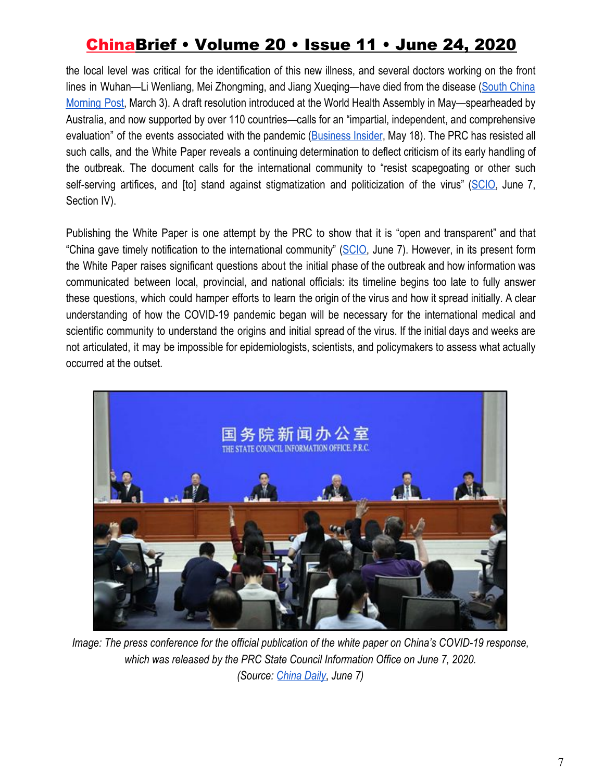the local level was critical for the identification of this new illness, and several doctors working on the front lines in Wuhan—Li Wenliang, Mei Zhongming, and Jiang Xueqing—have died from the disease [\(South](https://www.scmp.com/news/china/society/article/3064830/wuhan-doctor-who-worked-whistle-blower-li-wenliang-dies-after) China [Morning](https://www.scmp.com/news/china/society/article/3064830/wuhan-doctor-who-worked-whistle-blower-li-wenliang-dies-after) Post, March 3). A draft resolution introduced at the World Health Assembly in May—spearheaded by Australia, and now supported by over 110 countries—calls for an "impartial, independent, and comprehensive evaluation" of the events associated with the pandemic ([Business](https://www.businessinsider.com/120-nations-support-un-investigating-coronavirus-origin-china-angry-2020-5) Insider, May 18). The PRC has resisted all such calls, and the White Paper reveals a continuing determination to deflect criticism of its early handling of the outbreak. The document calls for the international community to "resist scapegoating or other such self-serving artifices, and [to] stand against stigmatization and politicization of the virus" [\(SCIO](http://english.scio.gov.cn/whitepapers/2020-06/07/content_76135269_7.htm), June 7, Section IV).

Publishing the White Paper is one attempt by the PRC to show that it is "open and transparent" and that "China gave timely notification to the international community" [\(SCIO](http://english.scio.gov.cn/whitepapers/2020-06/07/content_76135269_7.htm), June 7). However, in its present form the White Paper raises significant questions about the initial phase of the outbreak and how information was communicated between local, provincial, and national officials: its timeline begins too late to fully answer these questions, which could hamper efforts to learn the origin of the virus and how it spread initially. A clear understanding of how the COVID-19 pandemic began will be necessary for the international medical and scientific community to understand the origins and initial spread of the virus. If the initial days and weeks are not articulated, it may be impossible for epidemiologists, scientists, and policymakers to assess what actually occurred at the outset.



*Image: The press conference for the official publication of the white paper on China's COVID-19 response, which was released by the PRC State Council Information Office on June 7, 2020. (Source: [China Daily](http://en.people.cn/n3/2020/0607/c90000-9698278.html)*, *June 7)*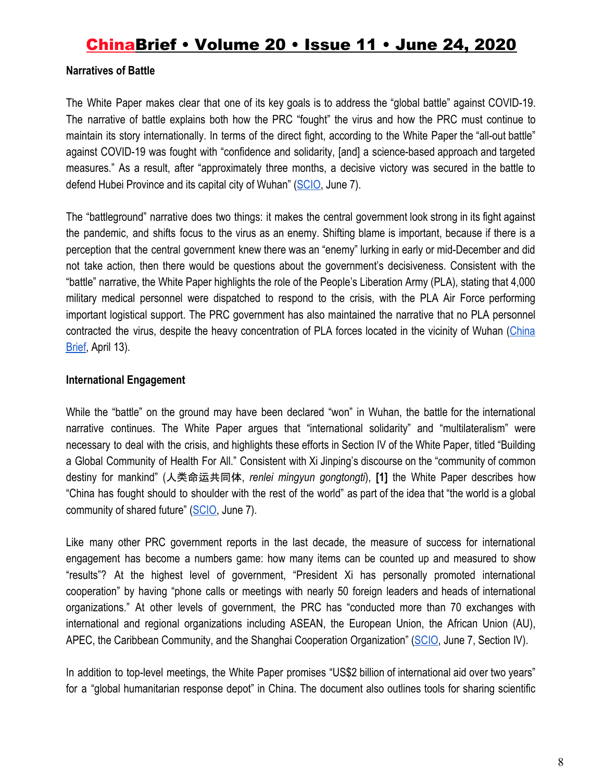#### **Narratives of Battle**

The White Paper makes clear that one of its key goals is to address the "global battle" against COVID-19. The narrative of battle explains both how the PRC "fought" the virus and how the PRC must continue to maintain its story internationally. In terms of the direct fight, according to the White Paper the "all-out battle" against COVID-19 was fought with "confidence and solidarity, [and] a science-based approach and targeted measures." As a result, after "approximately three months, a decisive victory was secured in the battle to defend Hubei Province and its capital city of Wuhan" ([SCIO,](http://english.scio.gov.cn/whitepapers/2020-06/07/content_76135269_7.htm) June 7).

The "battleground" narrative does two things: it makes the central government look strong in its fight against the pandemic, and shifts focus to the virus as an enemy. Shifting blame is important, because if there is a perception that the central government knew there was an "enemy" lurking in early or mid-December and did not take action, then there would be questions about the government's decisiveness. Consistent with the "battle" narrative, the White Paper highlights the role of the People's Liberation Army (PLA), stating that 4,000 military medical personnel were dispatched to respond to the crisis, with the PLA Air Force performing important logistical support. The PRC government has also maintained the narrative that no PLA personnel contracted the virus, despite the heavy concentration of PLA forces located in the vicinity of Wuhan ([China](https://jamestown.org/program/responding-to-the-epidemic-in-wuhan-insights-into-chinese-military-logistics/) [Brief](https://jamestown.org/program/responding-to-the-epidemic-in-wuhan-insights-into-chinese-military-logistics/), April 13).

#### **International Engagement**

While the "battle" on the ground may have been declared "won" in Wuhan, the battle for the international narrative continues. The White Paper argues that "international solidarity" and "multilateralism" were necessary to deal with the crisis, and highlights these efforts in Section IV of the White Paper, titled "Building a Global Community of Health For All." Consistent with Xi Jinping's discourse on the "community of common destiny for mankind" (人类命运共同体, *renlei mingyun gongtongti*), **[1]** the White Paper describes how "China has fought should to shoulder with the rest of the world" as part of the idea that "the world is a global community of shared future" ([SCIO,](http://english.scio.gov.cn/whitepapers/2020-06/07/content_76135269_7.htm) June 7).

Like many other PRC government reports in the last decade, the measure of success for international engagement has become a numbers game: how many items can be counted up and measured to show "results"? At the highest level of government, "President Xi has personally promoted international cooperation" by having "phone calls or meetings with nearly 50 foreign leaders and heads of international organizations." At other levels of government, the PRC has "conducted more than 70 exchanges with international and regional organizations including ASEAN, the European Union, the African Union (AU), APEC, the Caribbean Community, and the Shanghai Cooperation Organization" [\(SCIO,](http://english.scio.gov.cn/whitepapers/2020-06/07/content_76135269_7.htm) June 7, Section IV).

In addition to top-level meetings, the White Paper promises "US\$2 billion of international aid over two years" for a "global humanitarian response depot" in China. The document also outlines tools for sharing scientific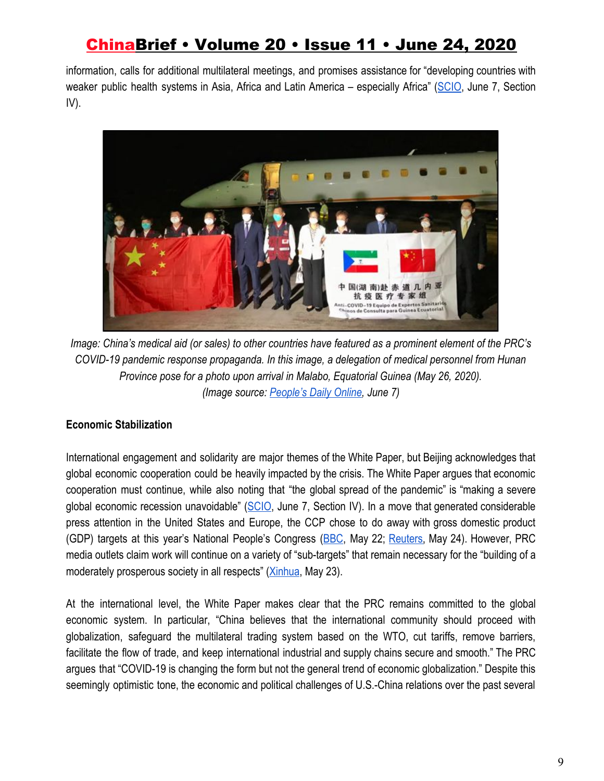information, calls for additional multilateral meetings, and promises assistance for "developing countries with weaker public health systems in Asia, Africa and Latin America – especially Africa" ([SCIO,](http://english.scio.gov.cn/whitepapers/2020-06/07/content_76135269_7.htm) June 7, Section IV).



*Image: China's medical aid (or sales) to other countries have featured as a prominent element of the PRC's COVID-19 pandemic response propaganda. In this image, a delegation of medical personnel from Hunan Province pose for a photo upon arrival in Malabo, Equatorial Guinea (May 26, 2020). (Image source: [People's Daily Online,](http://en.people.cn/n3/2020/0607/c90000-9698278-5.html) June 7)*

### **Economic Stabilization**

International engagement and solidarity are major themes of the White Paper, but Beijing acknowledges that global economic cooperation could be heavily impacted by the crisis. The White Paper argues that economic cooperation must continue, while also noting that "the global spread of the pandemic" is "making a severe global economic recession unavoidable" [\(SCIO](http://english.scio.gov.cn/whitepapers/2020-06/07/content_76135269_7.htm), June 7, Section IV). In a move that generated considerable press attention in the United States and Europe, the CCP chose to do away with gross domestic product (GDP) targets at this year's National People's Congress ([BBC](https://www.bbc.com/news/business-52765958), May 22; [Reuters,](https://www.reuters.com/article/us-china-parliament-economy-xi/xi-says-china-could-have-set-gdp-growth-goal-around-6-had-there-been-no-coronavirus-idUSKBN2300EU) May 24). However, PRC media outlets claim work will continue on a variety of "sub-targets" that remain necessary for the "building of a moderately prosperous society in all respects" [\(Xinhua,](http://www.xinhuanet.com/english/2020-05/23/c_139080161.htm) May 23).

At the international level, the White Paper makes clear that the PRC remains committed to the global economic system. In particular, "China believes that the international community should proceed with globalization, safeguard the multilateral trading system based on the WTO, cut tariffs, remove barriers, facilitate the flow of trade, and keep international industrial and supply chains secure and smooth." The PRC argues that "COVID-19 is changing the form but not the general trend of economic globalization." Despite this seemingly optimistic tone, the economic and political challenges of U.S.-China relations over the past several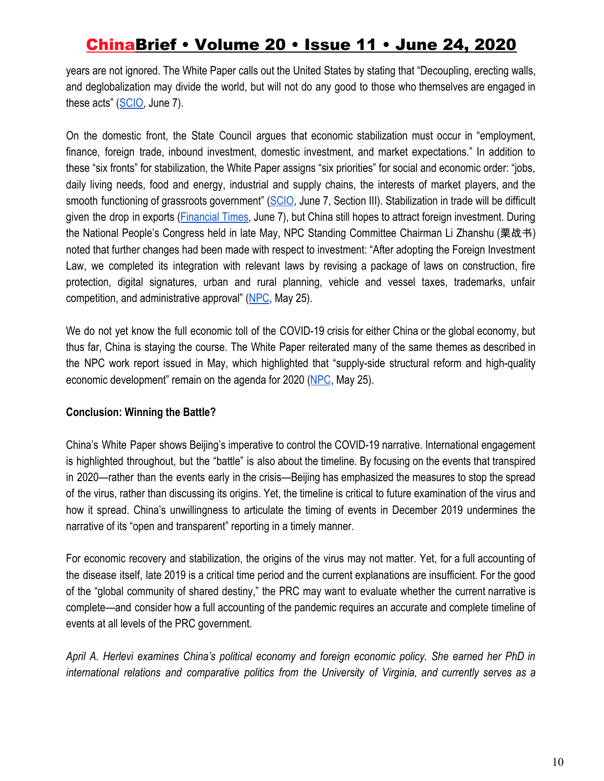years are not ignored. The White Paper calls out the United States by stating that "Decoupling, erecting walls, and deglobalization may divide the world, but will not do any good to those who themselves are engaged in these acts" ([SCIO,](http://english.scio.gov.cn/whitepapers/2020-06/07/content_76135269_7.htm) June 7).

On the domestic front, the State Council argues that economic stabilization must occur in "employment, finance, foreign trade, inbound investment, domestic investment, and market expectations." In addition to these "six fronts" for stabilization, the White Paper assigns "six priorities" for social and economic order: "jobs, daily living needs, food and energy, industrial and supply chains, the interests of market players, and the smooth functioning of grassroots government" ([SCIO](http://english.scio.gov.cn/whitepapers/2020-06/07/content_76135269_7.htm), June 7, Section III). Stabilization in trade will be difficult given the drop in exports ([Financial](https://www.ft.com/content/d217a1f8-9bf4-4d05-a5ba-b0794852e1c4) Times, June 7), but China still hopes to attract foreign investment. During the National People's Congress held in late May, NPC Standing Committee Chairman Li Zhanshu (栗战书) noted that further changes had been made with respect to investment: "After adopting the Foreign Investment Law, we completed its integration with relevant laws by revising a package of laws on construction, fire protection, digital signatures, urban and rural planning, vehicle and vessel taxes, trademarks, unfair competition, and administrative approval" ([NPC](http://www.npc.gov.cn/englishnpc/c23934/202006/946d17be389c41ff88f7b1b74e7c0bd6.shtml), May 25).

We do not yet know the full economic toll of the COVID-19 crisis for either China or the global economy, but thus far, China is staying the course. The White Paper reiterated many of the same themes as described in the NPC work report issued in May, which highlighted that "supply-side structural reform and high-quality economic development" remain on the agenda for 2020 ([NPC](http://www.npc.gov.cn/englishnpc/c23934/202006/946d17be389c41ff88f7b1b74e7c0bd6.shtml), May 25).

#### **Conclusion: Winning the Battle?**

China's White Paper shows Beijing's imperative to control the COVID-19 narrative. International engagement is highlighted throughout, but the "battle" is also about the timeline. By focusing on the events that transpired in 2020—rather than the events early in the crisis—Beijing has emphasized the measures to stop the spread of the virus, rather than discussing its origins. Yet, the timeline is critical to future examination of the virus and how it spread. China's unwillingness to articulate the timing of events in December 2019 undermines the narrative of its "open and transparent" reporting in a timely manner.

For economic recovery and stabilization, the origins of the virus may not matter. Yet, for a full accounting of the disease itself, late 2019 is a critical time period and the current explanations are insufficient. For the good of the "global community of shared destiny," the PRC may want to evaluate whether the current narrative is complete—and consider how a full accounting of the pandemic requires an accurate and complete timeline of events at all levels of the PRC government.

*April A. Herlevi examines China's political economy and foreign economic policy. She earned her PhD in international relations and comparative politics from the University of Virginia, and currently serves as a*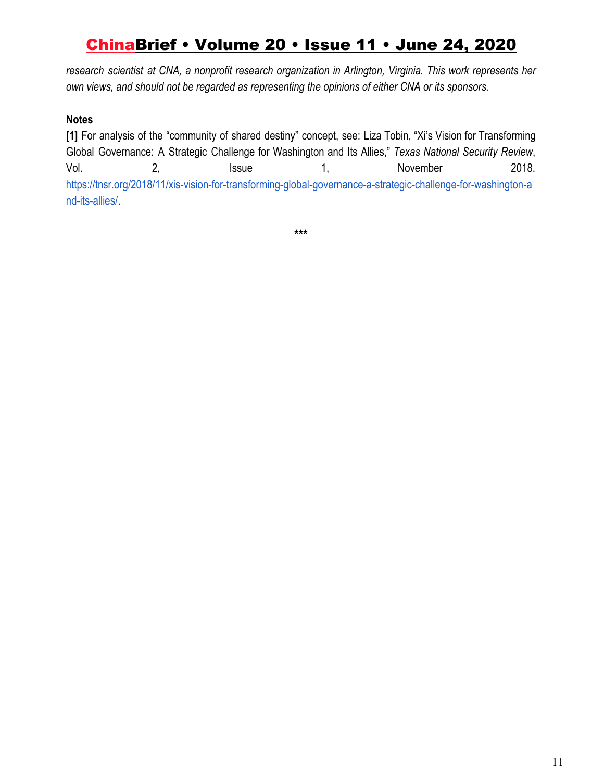*research scientist at CNA, a nonprofit research organization in Arlington, Virginia. This work represents her own views, and should not be regarded as representing the opinions of either CNA or its sponsors.*

### **Notes**

**[1]** For analysis of the "community of shared destiny" concept, see: Liza Tobin, "Xi's Vision for Transforming Global Governance: A Strategic Challenge for Washington and Its Allies," *Texas National Security Review*, Vol. 2, 2, Issue 1, November 2018. [https://tnsr.org/2018/11/xis-vision-for-transforming-global-governance-a-strategic-challenge-for-washington-a](https://tnsr.org/2018/11/xis-vision-for-transforming-global-governance-a-strategic-challenge-for-washington-and-its-allies/) [nd-its-allies/](https://tnsr.org/2018/11/xis-vision-for-transforming-global-governance-a-strategic-challenge-for-washington-and-its-allies/).

**\*\*\***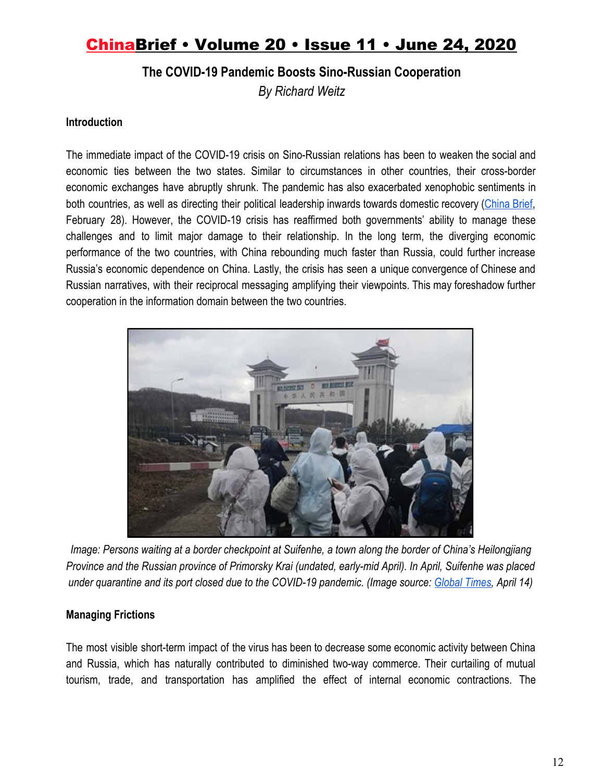### **The COVID-19 Pandemic Boosts Sino-Russian Cooperation**

*By Richard Weitz*

#### **Introduction**

The immediate impact of the COVID-19 crisis on Sino-Russian relations has been to weaken the social and economic ties between the two states. Similar to circumstances in other countries, their cross-border economic exchanges have abruptly shrunk. The pandemic has also exacerbated xenophobic sentiments in both countries, as well as directing their political leadership inwards towards domestic recovery [\(China](https://jamestown.org/program/fair-weather-friends-the-impact-of-the-coronavirus-on-the-strategic-partnership-between-russia-and-china/) Brief, February 28). However, the COVID-19 crisis has reaffirmed both governments' ability to manage these challenges and to limit major damage to their relationship. In the long term, the diverging economic performance of the two countries, with China rebounding much faster than Russia, could further increase Russia's economic dependence on China. Lastly, the crisis has seen a unique convergence of Chinese and Russian narratives, with their reciprocal messaging amplifying their viewpoints. This may foreshadow further cooperation in the information domain between the two countries.



*Image: Persons waiting at a border checkpoint at Suifenhe, a town along the border of China's Heilongjiang Province and the Russian province of Primorsky Krai (undated, early-mid April). In April, Suifenhe was placed under quarantine and its port closed due to the COVID-19 pandemic. (Image source[:](https://www.globaltimes.cn/content/1185517.shtml) [Global Times](https://www.globaltimes.cn/content/1185517.shtml), April 14)*

### **Managing Frictions**

The most visible short-term impact of the virus has been to decrease some economic activity between China and Russia, which has naturally contributed to diminished two-way commerce. Their curtailing of mutual tourism, trade, and transportation has amplified the effect of internal economic contractions. The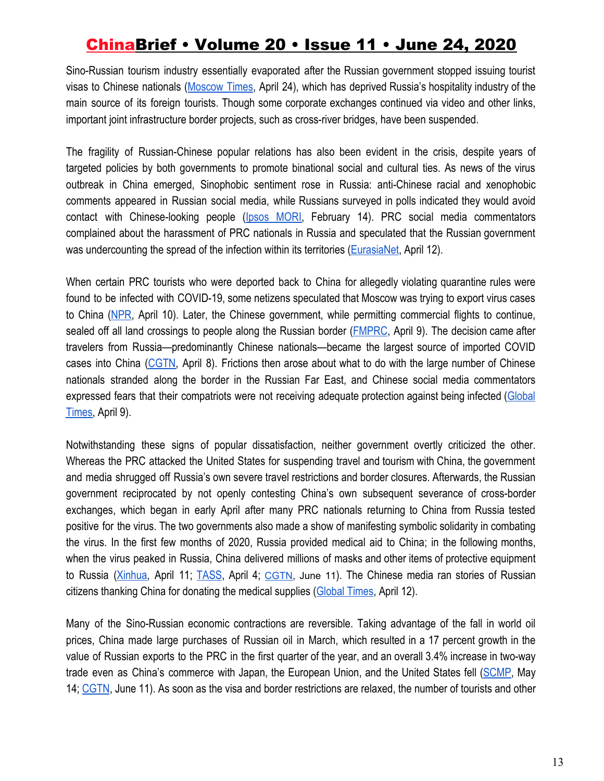Sino-Russian tourism industry essentially evaporated after the Russian government stopped issuing tourist visas to Chinese nationals [\(Moscow](https://www.themoscowtimes.com/2020/04/24/russia-seeks-to-revive-coronavirus-hit-tourism-industry-by-cutting-visa-red-tape-a70097) Times, April 24), which has deprived Russia's hospitality industry of the main source of its foreign tourists. Though some corporate exchanges continued via video and other links, important joint infrastructure border projects, such as cross-river bridges, have been suspended.

The fragility of Russian-Chinese popular relations has also been evident in the crisis, despite years of targeted policies by both governments to promote binational social and cultural ties. As news of the virus outbreak in China emerged, Sinophobic sentiment rose in Russia: anti-Chinese racial and xenophobic comments appeared in Russian social media, while Russians surveyed in polls indicated they would avoid contact with Chinese-looking people (Ipsos [MORI,](https://www.ipsos.com/ipsos-mori/en-uk/covid-19-one-seven-people-would-avoid-people-chinese-origin-or-appearance) February 14). PRC social media commentators complained about the harassment of PRC nationals in Russia and speculated that the Russian government was undercounting the spread of the infection within its territories ([EurasiaNet](https://eurasianet.org/infodemic-infects-chinese-russian-relations), April 12).

When certain PRC tourists who were deported back to China for allegedly violating quarantine rules were found to be infected with COVID-19, some netizens speculated that Moscow was trying to export virus cases to China [\(NPR,](https://www.npr.org/2020/04/10/831480479/to-avoid-new-covid-19-cases-china-closes-border-with-russia) April 10). Later, the Chinese government, while permitting commercial flights to continue, sealed off all land crossings to people along the Russian border (*FMPRC*, April 9). The decision came after travelers from Russia—predominantly Chinese nationals—became the largest source of imported COVID cases into China [\(CGTN](https://news.cgtn.com/news/2020-04-08/China-closes-land-border-with-Russia-to-prevent-COVID-19-PwfK4co62I/index.html), April 8). Frictions then arose about what to do with the large number of Chinese nationals stranded along the border in the Russian Far East, and Chinese social media commentators expressed fears that their compatriots were not receiving adequate protection against being infected [\(Global](https://www.globaltimes.cn/content/1185193.shtm) [Times,](https://www.globaltimes.cn/content/1185193.shtm) April 9).

Notwithstanding these signs of popular dissatisfaction, neither government overtly criticized the other. Whereas the PRC attacked the United States for suspending travel and tourism with China, the government and media shrugged off Russia's own severe travel restrictions and border closures. Afterwards, the Russian government reciprocated by not openly contesting China's own subsequent severance of cross-border exchanges, which began in early April after many PRC nationals returning to China from Russia tested positive for the virus. The two governments also made a show of manifesting symbolic solidarity in combating the virus. In the first few months of 2020, Russia provided medical aid to China; in the following months, when the virus peaked in Russia, China delivered millions of masks and other items of protective equipment to Russia [\(Xinhua](http://www.china.org.cn/world/2020-04/11/content_75920126.htm), April 11; [TASS](https://tass.com/society/1140305), April 4[;](https://infobrics.org/post/31082/) [CGTN,](https://infobrics.org/post/31082/) June 11). The Chinese media ran stories of Russian citizens thanking China for donating the medical supplies ([Global Times,](https://www.globaltimes.cn/content/1185400.shtml) April 12).

Many of the Sino-Russian economic contractions are reversible. Taking advantage of the fall in world oil prices, China made large purchases of Russian oil in March, which resulted in a 17 percent growth in the value of Russian exports to the PRC in the first quarter of the year, and an overall 3.4% increase in two-way trade even as China's commerce with Japan, the European Union, and the United States fell ([SCMP](https://www.scmp.com/comment/opinion/article/3084070/us-covid-19-blame-game-pushing-china-and-russia-closer-together-are), May 14; [CGTN](https://infobrics.org/post/31082/), June 11). As soon as the visa and border restrictions are relaxed, the number of tourists and other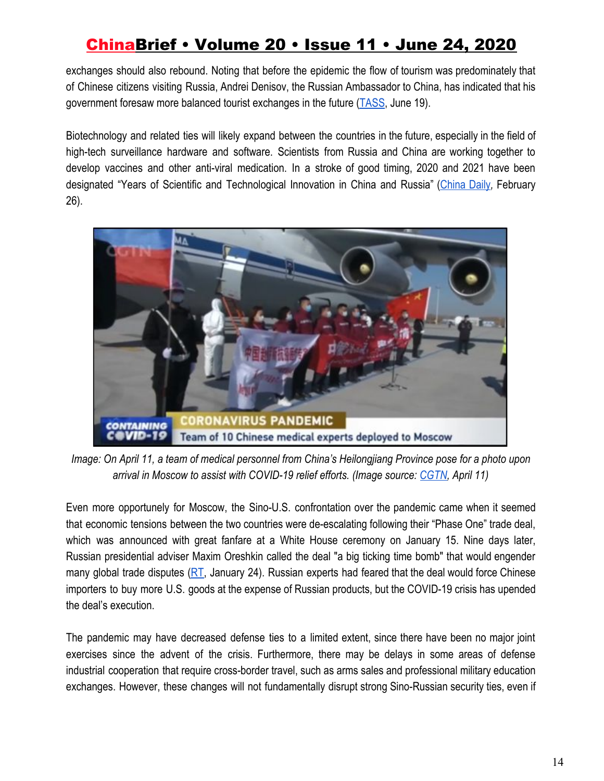exchanges should also rebound. Noting that before the epidemic the flow of tourism was predominately that of Chinese citizens visiting Russia, Andrei Denisov, the Russian Ambassador to China, has indicated that his government foresaw more balanced tourist exchanges in the future [\(TASS](https://tass.com/politics/1169501), June 19).

Biotechnology and related ties will likely expand between the countries in the future, especially in the field of high-tech surveillance hardware and software. Scientists from Russia and China are working together to develop vaccines and other anti-viral medication. In a stroke of good timing, 2020 and 2021 have been designated "Years of Scientific and Technological Innovation in China and Russia" [\(China](https://global.chinadaily.com.cn/a/202002/26/WS5e55ca75a31012821727a5c3.html) Daily*,* February 26).



*Image: On April 11, a team of medical personnel from China's Heilongjiang Province pose for a photo upon arrival in Moscow to assist with COVID-19 relief efforts. (Image source: [CGTN](https://news.cgtn.com/news/2020-04-11/China-sends-medical-experts-to-Russia-to-help-fight-COVID-19-PBshI0UoaQ/index.html), April 11)*

Even more opportunely for Moscow, the Sino-U.S. confrontation over the pandemic came when it seemed that economic tensions between the two countries were de-escalating following their "Phase One" trade deal, which was announced with great fanfare at a White House ceremony on January 15. Nine days later, Russian presidential adviser Maxim Oreshkin called the deal "a big ticking time bomb" that would engender many global trade disputes ( $RT$ , January 24). Russian experts had feared that the deal would force Chinese importers to buy more U.S. goods at the expense of Russian products, but the COVID-19 crisis has upended the deal's execution.

The pandemic may have decreased defense ties to a limited extent, since there have been no major joint exercises since the advent of the crisis. Furthermore, there may be delays in some areas of defense industrial cooperation that require cross-border travel, such as arms sales and professional military education exchanges. However, these changes will not fundamentally disrupt strong Sino-Russian security ties, even if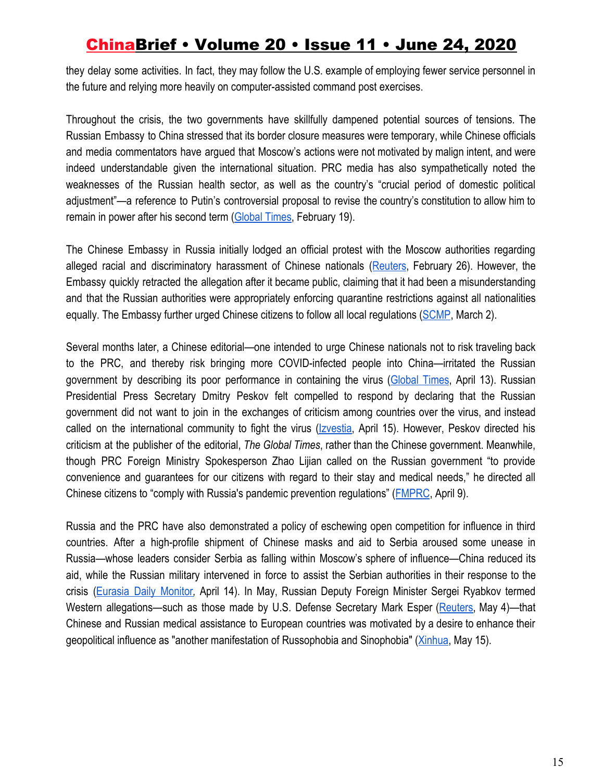they delay some activities. In fact, they may follow the U.S. example of employing fewer service personnel in the future and relying more heavily on computer-assisted command post exercises.

Throughout the crisis, the two governments have skillfully dampened potential sources of tensions. The Russian Embassy to China stressed that its border closure measures were temporary, while Chinese officials and media commentators have argued that Moscow's actions were not motivated by malign intent, and were indeed understandable given the international situation. PRC media has also sympathetically noted the weaknesses of the Russian health sector, as well as the country's "crucial period of domestic political adjustment"—a reference to Putin's controversial proposal to revise the country's constitution to allow him to remain in power after his second term ([Global Times,](https://www.globaltimes.cn/content/1180092.shtml) February 19).

The Chinese Embassy in Russia initially lodged an official protest with the Moscow authorities regarding alleged racial and discriminatory harassment of Chinese nationals [\(Reuters](https://www.nytimes.com/reuters/2020/02/26/world/europe/26reuters-china-health-moscow-letter.html), February 26). However, the Embassy quickly retracted the allegation after it became public, claiming that it had been a misunderstanding and that the Russian authorities were appropriately enforcing quarantine restrictions against all nationalities equally. The Embassy further urged Chinese citizens to follow all local regulations [\(SCMP,](https://www.scmp.com/news/china/diplomacy/article/3064582/coronavirus-china-embassy-u-turns-claim-russian-police-singled) March 2).

Several months later, a Chinese editorial—one intended to urge Chinese nationals not to risk traveling back to the PRC, and thereby risk bringing more COVID-infected people into China—irritated the Russian government by describing its poor performance in containing the virus [\(Global](http://www.globaltimes.cn/content/1185509.shtml) Times, April 13). Russian Presidential Press Secretary Dmitry Peskov felt compelled to respond by declaring that the Russian government did not want to join in the exchanges of criticism among countries over the virus, and instead called on the international community to fight the virus [\(Izvestia,](https://iz.ru/1000111/2020-04-15/peskov-otvetil-na-kritiku-kitaiskoi-gazety-v-adres-mer-rf-po-borbe-s-covid-19) April 15). However, Peskov directed his criticism at the publisher of the editorial, *The Global Times*, rather than the Chinese government. Meanwhile, though PRC Foreign Ministry Spokesperson Zhao Lijian called on the Russian government "to provide convenience and guarantees for our citizens with regard to their stay and medical needs," he directed all Chinese citizens to "comply with Russia's pandemic prevention regulations" ([FMPRC,](https://www.fmprc.gov.cn/mfa_eng/xwfw_665399/s2510_665401/t1767935.shtml) April 9).

Russia and the PRC have also demonstrated a policy of eschewing open competition for influence in third countries. After a high-profile shipment of Chinese masks and aid to Serbia aroused some unease in Russia—whose leaders consider Serbia as falling within Moscow's sphere of influence—China reduced its aid, while the Russian military intervened in force to assist the Serbian authorities in their response to the crisis ([Eurasia](https://jamestown.org/program/moscow-using-pandemic-to-shore-up-alliance-with-serbia-against-nato-and-china/) Daily Monitor*,* April 14). In May, Russian Deputy Foreign Minister Sergei Ryabkov termed Western allegations—such as those made by U.S. Defense Secretary Mark Esper ([Reuters,](https://www.reuters.com/article/us-health-coronavirus-usa-security/china-russia-take-advantage-of-virus-emergency-u-s-defense-secretary-says-idUSKBN22G0OT) May 4)—that Chinese and Russian medical assistance to European countries was motivated by a desire to enhance their geopolitical influence as "another manifestation of Russophobia and Sinophobia" [\(Xinhua](http://www.xinhuanet.com/english/2020-05/15/c_139057605.htm), May 15).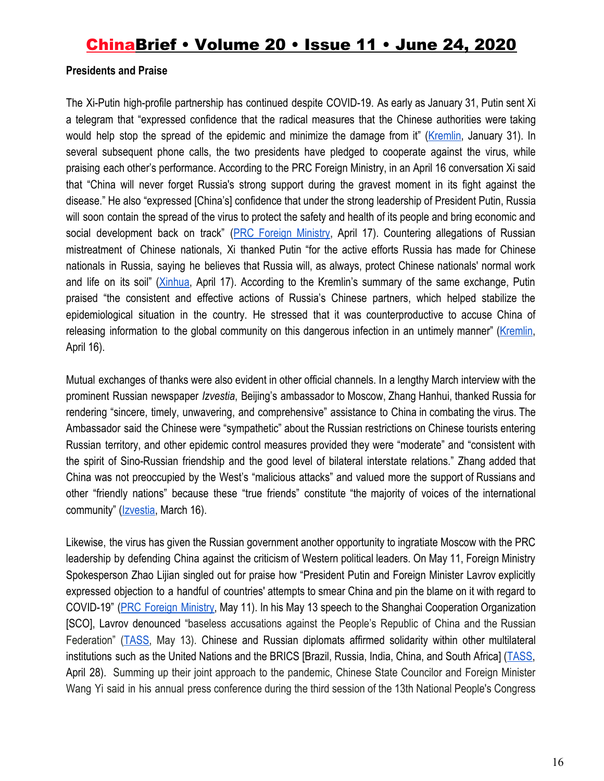#### **Presidents and Praise**

The Xi-Putin high-profile partnership has continued despite COVID-19. As early as January 31, Putin sent Xi a telegram that "expressed confidence that the radical measures that the Chinese authorities were taking would help stop the spread of the epidemic and minimize the damage from it" [\(Kremlin,](http://en.kremlin.ru/catalog/persons/351/events/62709) January 31). In several subsequent phone calls, the two presidents have pledged to cooperate against the virus, while praising each other's performance. According to the PRC Foreign Ministry, in an April 16 conversation Xi said that "China will never forget Russia's strong support during the gravest moment in its fight against the disease." He also "expressed [China's] confidence that under the strong leadership of President Putin, Russia will soon contain the spread of the virus to protect the safety and health of its people and bring economic and social development back on track" (PRC [Foreign](https://www.fmprc.gov.cn/ce/cgvienna/eng/zt/kjxgyq1en/t1770891.htm) Ministry, April 17). Countering allegations of Russian mistreatment of Chinese nationals, Xi thanked Putin "for the active efforts Russia has made for Chinese nationals in Russia, saying he believes that Russia will, as always, protect Chinese nationals' normal work and life on its soil" [\(Xinhua](http://www.xinhuanet.com/english/2020-04/17/c_138983035.htm?mc_cid=2faf5a380c&mc_eid=ac44ba7568), April 17). According to the Kremlin's summary of the same exchange, Putin praised "the consistent and effective actions of Russia's Chinese partners, which helped stabilize the epidemiological situation in the country. He stressed that it was counterproductive to accuse China of releasing information to the global community on this dangerous infection in an untimely manner" ([Kremlin](http://en.kremlin.ru/events/president/news/63209), April 16).

Mutual exchanges of thanks were also evident in other official channels. In a lengthy March interview with the prominent Russian newspaper *Izvestia*, Beijing's ambassador to Moscow, Zhang Hanhui, thanked Russia for rendering "sincere, timely, unwavering, and comprehensive" assistance to China in combating the virus. The Ambassador said the Chinese were "sympathetic" about the Russian restrictions on Chinese tourists entering Russian territory, and other epidemic control measures provided they were "moderate" and "consistent with the spirit of Sino-Russian friendship and the good level of bilateral interstate relations." Zhang added that China was not preoccupied by the West's "malicious attacks" and valued more the support of Russians and other "friendly nations" because these "true friends" constitute "the majority of voices of the international community" ([Izvestia,](https://iz.ru/987065/nataliia-portiakova/blagodaria-epidemii-my-vnov-uznali-nastoiashchikh-druzei) March 16).

Likewise, the virus has given the Russian government another opportunity to ingratiate Moscow with the PRC leadership by defending China against the criticism of Western political leaders. On May 11, Foreign Ministry Spokesperson Zhao Lijian singled out for praise how "President Putin and Foreign Minister Lavrov explicitly expressed objection to a handful of countries' attempts to smear China and pin the blame on it with regard to COVID-19" (PRC Foreign [Ministry,](https://www.fmprc.gov.cn/mfa_eng/xwfw_665399/s2510_665401/t1777953.shtml) May 11). In his May 13 speech to the Shanghai Cooperation Organization [SCO], Lavrov denounced "baseless accusations against the People's Republic of China and the Russian Federation" [\(TASS,](https://tass.com/politics/1155819) May 13). Chinese and Russian diplomats affirmed solidarity within other multilateral institutions such as the United Nations and the BRICS [Brazil, Russia, India, China, and South Africa] [\(TASS,](https://tass.com/world/1150817) April 28). Summing up their joint approach to the pandemic, Chinese State Councilor and Foreign Minister Wang Yi said in his annual press conference during the third session of the 13th National People's Congress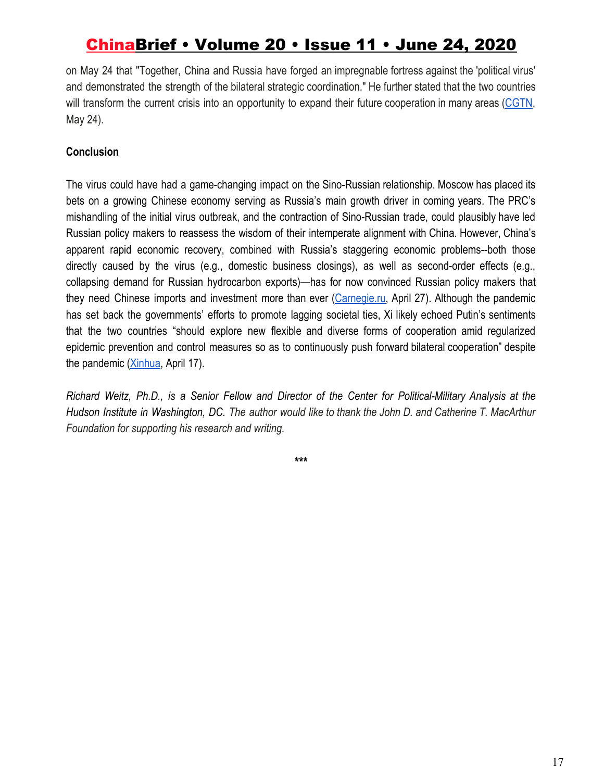on May 24 that "Together, China and Russia have forged an impregnable fortress against the 'political virus' and demonstrated the strength of the bilateral strategic coordination." He further stated that the two countries will transform the current crisis into an opportunity to expand their future cooperation in many areas [\(CGTN](https://news.cgtn.com/news/2020-05-24/Wang-Yi-China-Russia-ties-to-be-boosted-after-COVID-19-QKJbppYM5W/index.html), May 24).

### **Conclusion**

The virus could have had a game-changing impact on the Sino-Russian relationship. Moscow has placed its bets on a growing Chinese economy serving as Russia's main growth driver in coming years. The PRC's mishandling of the initial virus outbreak, and the contraction of Sino-Russian trade, could plausibly have led Russian policy makers to reassess the wisdom of their intemperate alignment with China. However, China's apparent rapid economic recovery, combined with Russia's staggering economic problems--both those directly caused by the virus (e.g., domestic business closings), as well as second-order effects (e.g., collapsing demand for Russian hydrocarbon exports)—has for now convinced Russian policy makers that they need Chinese imports and investment more than ever ([Carnegie.ru](https://carnegie.ru/commentary/81633), April 27). Although the pandemic has set back the governments' efforts to promote lagging societal ties, Xi likely echoed Putin's sentiments that the two countries "should explore new flexible and diverse forms of cooperation amid regularized epidemic prevention and control measures so as to continuously push forward bilateral cooperation" despite the pandemic [\(Xinhua,](http://www.xinhuanet.com/english/2020-04/17/c_138983035.htm?mc_cid=2faf5a380c&mc_eid=ac44ba7568) April 17).

Richard Weitz, Ph.D., is a Senior Fellow and Director of the Center for Political-Military Analysis at the Hudson Institute in Washington, DC. The author would like to thank the John D. and Catherine T. MacArthur *Foundation for supporting his research and writing.*

**\*\*\***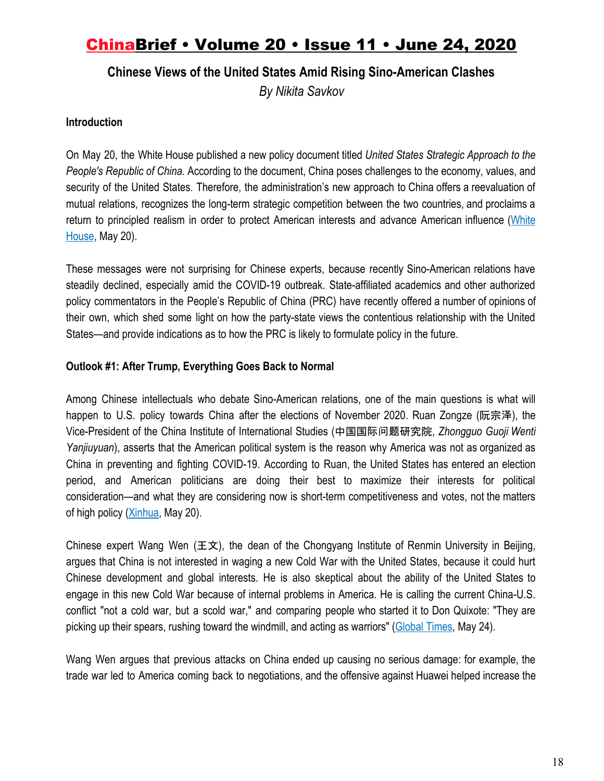### **Chinese Views of the United States Amid Rising Sino-American Clashes**

*By Nikita Savkov*

#### **Introduction**

On May 20, the White House published a new policy document titled *United States Strategic Approach to the People's Republic of China.* According to the document, China poses challenges to the economy, values, and security of the United States. Therefore, the administration's new approach to China offers a reevaluation of mutual relations, recognizes the long-term strategic competition between the two countries, and proclaims a return to principled realism in order to protect American interests and advance American influence ([White](https://www.whitehouse.gov/wp-content/uploads/2020/05/U.S.-Strategic-Approach-to-The-Peoples-Republic-of-China-Report-5.20.20.pdf) [House](https://www.whitehouse.gov/wp-content/uploads/2020/05/U.S.-Strategic-Approach-to-The-Peoples-Republic-of-China-Report-5.20.20.pdf), May 20).

These messages were not surprising for Chinese experts, because recently Sino-American relations have steadily declined, especially amid the COVID-19 outbreak. State-affiliated academics and other authorized policy commentators in the People's Republic of China (PRC) have recently offered a number of opinions of their own, which shed some light on how the party-state views the contentious relationship with the United States—and provide indications as to how the PRC is likely to formulate policy in the future.

#### **Outlook #1: After Trump, Everything Goes Back to Normal**

Among Chinese intellectuals who debate Sino-American relations, one of the main questions is what will happen to U.S. policy towards China after the elections of November 2020. Ruan Zongze (阮宗泽), the Vice-President of the China Institute of International Studies (中国国际问题研究院, *Zhongguo Guoji Wenti Yanjiuyuan*), asserts that the American political system is the reason why America was not as organized as China in preventing and fighting COVID-19. According to Ruan, the United States has entered an election period, and American politicians are doing their best to maximize their interests for political consideration—and what they are considering now is short-term competitiveness and votes, not the matters of high policy [\(Xinhua](http://www.xinhuanet.com/world/2020-05/20/c_1210628141.htm), May 20).

Chinese expert Wang Wen (王文), the dean of the Chongyang Institute of Renmin University in Beijing, argues that China is not interested in waging a new Cold War with the United States, because it could hurt Chinese development and global interests. He is also skeptical about the ability of the United States to engage in this new Cold War because of internal problems in America. He is calling the current China-U.S. conflict "not a cold war, but a scold war," and comparing people who started it to Don Quixote: "They are picking up their spears, rushing toward the windmill, and acting as warriors" [\(Global Times,](http://www.globaltimes.cn/content/1189352.shtml) May 24).

Wang Wen argues that previous attacks on China ended up causing no serious damage: for example, the trade war led to America coming back to negotiations, and the offensive against Huawei helped increase the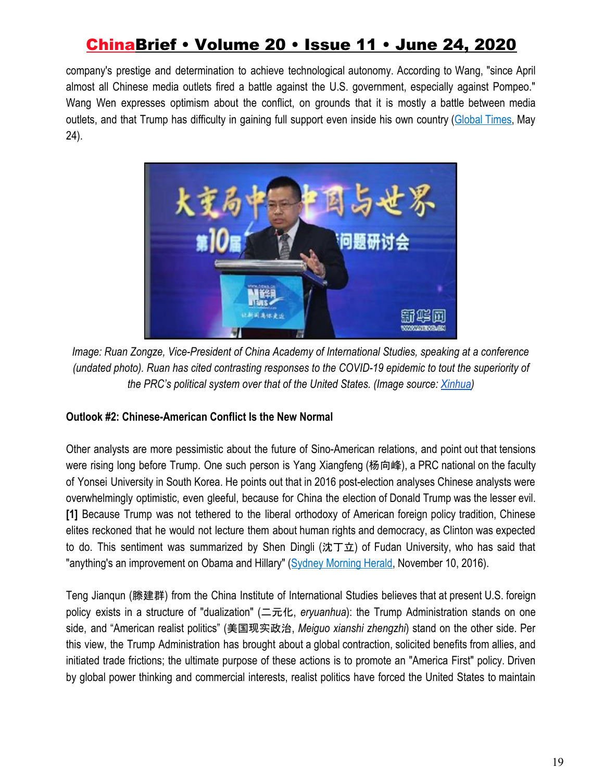company's prestige and determination to achieve technological autonomy. According to Wang, "since April almost all Chinese media outlets fired a battle against the U.S. government, especially against Pompeo." Wang Wen expresses optimism about the conflict, on grounds that it is mostly a battle between media outlets, and that Trump has difficulty in gaining full support even inside his own country ([Global](http://www.globaltimes.cn/content/1189352.shtml) Times, May 24).



*Image: Ruan Zongze, Vice-President of China Academy of International Studies, speaking at a conference (undated photo). Ruan has cited contrasting responses to the COVID-19 epidemic to tout the superiority of the PRC's political system over that of the United States. (Image source[:](http://www.xinhuanet.com/world/2020-05/20/c_1210628141.htm) [Xinhua\)](http://www.xinhuanet.com/world/2020-05/20/c_1210628141.htm)*

### **Outlook #2: Chinese-American Conflict Is the New Normal**

Other analysts are more pessimistic about the future of Sino-American relations, and point out that tensions were rising long before Trump. One such person is Yang Xiangfeng (杨向峰), a PRC national on the faculty of Yonsei University in South Korea. He points out that in 2016 post-election analyses Chinese analysts were overwhelmingly optimistic, even gleeful, because for China the election of Donald Trump was the lesser evil. **[1]** Because Trump was not tethered to the liberal orthodoxy of American foreign policy tradition, Chinese elites reckoned that he would not lecture them about human rights and democracy, as Clinton was expected to do. This sentiment was summarized by Shen Dingli (沈丁立) of Fudan University, who has said that "anything's an improvement on Obama and Hillary" ([Sydney Morning Herald](https://www.smh.com.au/world/donald-trumps-election-potentially-good-and-bad-news-for-china-20161110-gsmi3g.html), November 10, 2016).

Teng Jianqun (滕建群) from the China Institute of International Studies believes that at present U.S. foreign policy exists in a structure of "dualization" (二元化, *eryuanhua*): the Trump Administration stands on one side, and "American realist politics" (美国现实政治, *Meiguo xianshi zhengzhi*) stand on the other side. Per this view, the Trump Administration has brought about a global contraction, solicited benefits from allies, and initiated trade frictions; the ultimate purpose of these actions is to promote an "America First" policy. Driven by global power thinking and commercial interests, realist politics have forced the United States to maintain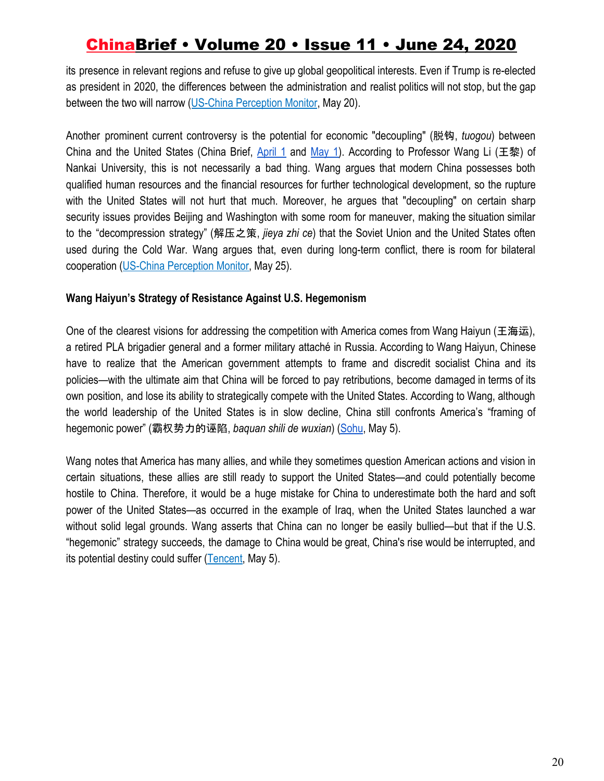its presence in relevant regions and refuse to give up global geopolitical interests. Even if Trump is re-elected as president in 2020, the differences between the administration and realist politics will not stop, but the gap between the two will narrow ([US-China Perception Monitor,](http://cn3.uscnpm.org/model_item.html?action=view&table=article&id=21732) May 20).

Another prominent current controversy is the potential for economic "decoupling" (脱钩, *tuogou*) between China and the United States (China Brief, [April](https://jamestown.org/program/global-supply-chains-economic-decoupling-and-u-s-china-relations-part-1-the-view-from-the-united-states/) 1 and [May](https://jamestown.org/program/global-supply-chains-economic-decoupling-and-u-s-china-relations-part-2-the-view-from-the-peoples-republic-of-china/) 1). According to Professor Wang Li (王黎) of Nankai University, this is not necessarily a bad thing. Wang argues that modern China possesses both qualified human resources and the financial resources for further technological development, so the rupture with the United States will not hurt that much. Moreover, he argues that "decoupling" on certain sharp security issues provides Beijing and Washington with some room for maneuver, making the situation similar to the "decompression strategy" (解压之策, *jieya zhi ce*) that the Soviet Union and the United States often used during the Cold War. Wang argues that, even during long-term conflict, there is room for bilateral cooperation [\(US-China Perception Monitor,](http://cn3.uscnpm.org/model_item.html?action=view&table=article&id=21789) May 25).

#### **Wang Haiyun's Strategy of Resistance Against U.S. Hegemonism**

One of the clearest visions for addressing the competition with America comes from Wang Haiyun (王海运), a retired PLA brigadier general and a former military attaché in Russia. According to Wang Haiyun, Chinese have to realize that the American government attempts to frame and discredit socialist China and its policies—with the ultimate aim that China will be forced to pay retributions, become damaged in terms of its own position, and lose its ability to strategically compete with the United States. According to Wang, although the world leadership of the United States is in slow decline, China still confronts America's "framing of hegemonic power" (霸权势力的诬陷, *baquan shili de wuxian*) [\(Sohu](https://www.sohu.com/a/393055317_425345?scm=1002.46005d.16b016f01a2.PC_ARTICLE_REC_OPT&spm=smpc.content.fd-link.9.1588652483515Z04GCqg), May 5).

Wang notes that America has many allies, and while they sometimes question American actions and vision in certain situations, these allies are still ready to support the United States—and could potentially become hostile to China. Therefore, it would be a huge mistake for China to underestimate both the hard and soft power of the United States—as occurred in the example of Iraq, when the United States launched a war without solid legal grounds. Wang asserts that China can no longer be easily bullied—but that if the U.S. "hegemonic" strategy succeeds, the damage to China would be great, China's rise would be interrupted, and its potential destiny could suffer [\(Tencent,](https://new.qq.com/rain/a/20200505A0PMRO00) May 5).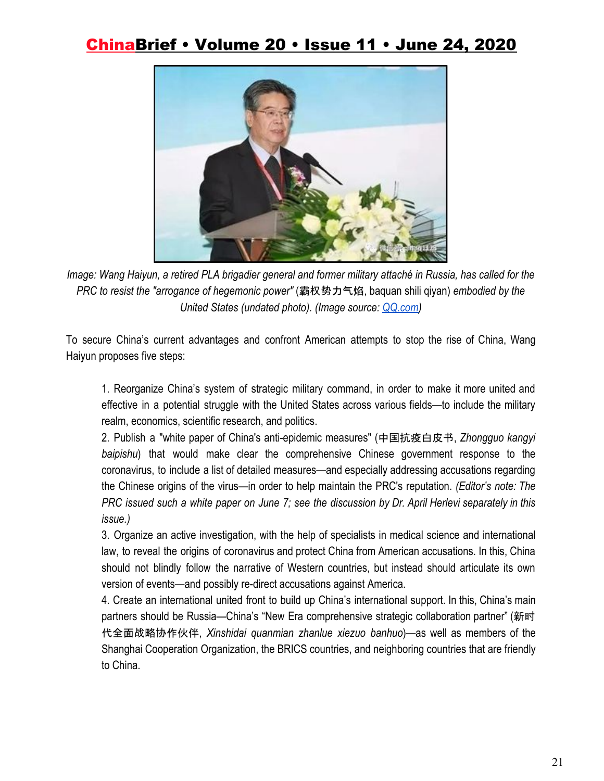

*Image: Wang Haiyun, a retired PLA brigadier general and former military attaché in Russia, has called for the PRC to resist the "arrogance of hegemonic power"* (霸权势力气焰, baquan shili qiyan) *embodied by the United States (undated photo). (Image source: [QQ.com](https://new.qq.com/rain/a/20200505A0PMRO00))*

To secure China's current advantages and confront American attempts to stop the rise of China, Wang Haiyun proposes five steps:

1. Reorganize China's system of strategic military command, in order to make it more united and effective in a potential struggle with the United States across various fields—to include the military realm, economics, scientific research, and politics.

2. Publish a "white paper of China's anti-epidemic measures" (中国抗疫白皮书, *Zhongguo kangyi baipishu*) that would make clear the comprehensive Chinese government response to the coronavirus, to include a list of detailed measures—and especially addressing accusations regarding the Chinese origins of the virus—in order to help maintain the PRC's reputation. *(Editor's note: The* PRC issued such a white paper on June 7; see the discussion by Dr. April Herlevi separately in this *issue.)*

3. Organize an active investigation, with the help of specialists in medical science and international law, to reveal the origins of coronavirus and protect China from American accusations. In this, China should not blindly follow the narrative of Western countries, but instead should articulate its own version of events—and possibly re-direct accusations against America.

4. Create an international united front to build up China's international support. In this, China's main partners should be Russia—China's "New Era comprehensive strategic collaboration partner" (新时 代全面战略协作伙伴, *Xinshidai quanmian zhanlue xiezuo banhuo*)—as well as members of the Shanghai Cooperation Organization, the BRICS countries, and neighboring countries that are friendly to China.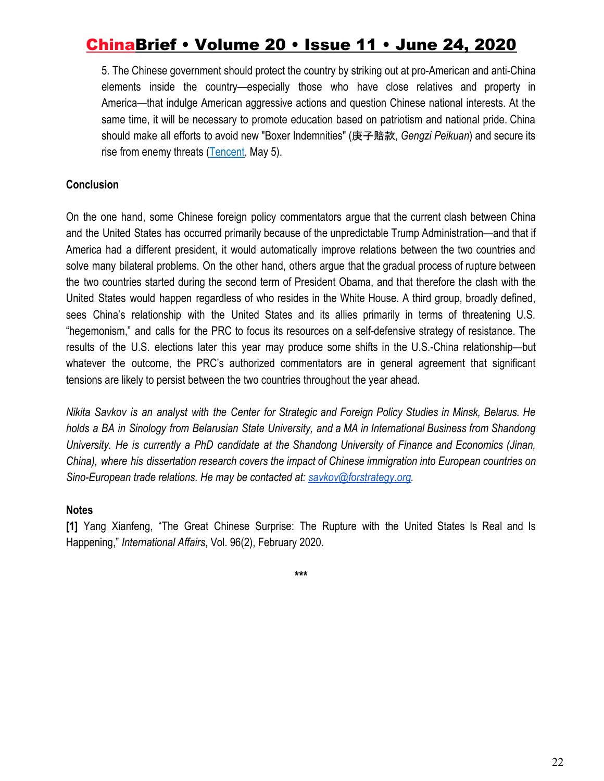5. The Chinese government should protect the country by striking out at pro-American and anti-China elements inside the country—especially those who have close relatives and property in America—that indulge American aggressive actions and question Chinese national interests. At the same time, it will be necessary to promote education based on patriotism and national pride. China should make all efforts to avoid new "Boxer Indemnities" (庚子赔款, *Gengzi Peikuan*) and secure its rise from enemy threats [\(Tencent,](https://new.qq.com/rain/a/20200505A0PMRO00) May 5).

#### **Conclusion**

On the one hand, some Chinese foreign policy commentators argue that the current clash between China and the United States has occurred primarily because of the unpredictable Trump Administration—and that if America had a different president, it would automatically improve relations between the two countries and solve many bilateral problems. On the other hand, others argue that the gradual process of rupture between the two countries started during the second term of President Obama, and that therefore the clash with the United States would happen regardless of who resides in the White House. A third group, broadly defined, sees China's relationship with the United States and its allies primarily in terms of threatening U.S. "hegemonism," and calls for the PRC to focus its resources on a self-defensive strategy of resistance. The results of the U.S. elections later this year may produce some shifts in the U.S.-China relationship—but whatever the outcome, the PRC's authorized commentators are in general agreement that significant tensions are likely to persist between the two countries throughout the year ahead.

Nikita Savkov is an analyst with the Center for Strategic and Foreign Policy Studies in Minsk, Belarus. He *holds a BA in Sinology from Belarusian State University, and a MA in International Business from Shandong University. He is currently a PhD candidate at the Shandong University of Finance and Economics (Jinan, China), where his dissertation research covers the impact of Chinese immigration into European countries on Sino-European trade relations. He may be contacted at: [savkov@forstrategy.org.](mailto:savkov@forstrategy.org)*

#### **Notes**

**[1]** Yang Xianfeng, "The Great Chinese Surprise: The Rupture with the United States Is Real and Is Happening," *International Affairs*, Vol. 96(2), February 2020.

**\*\*\***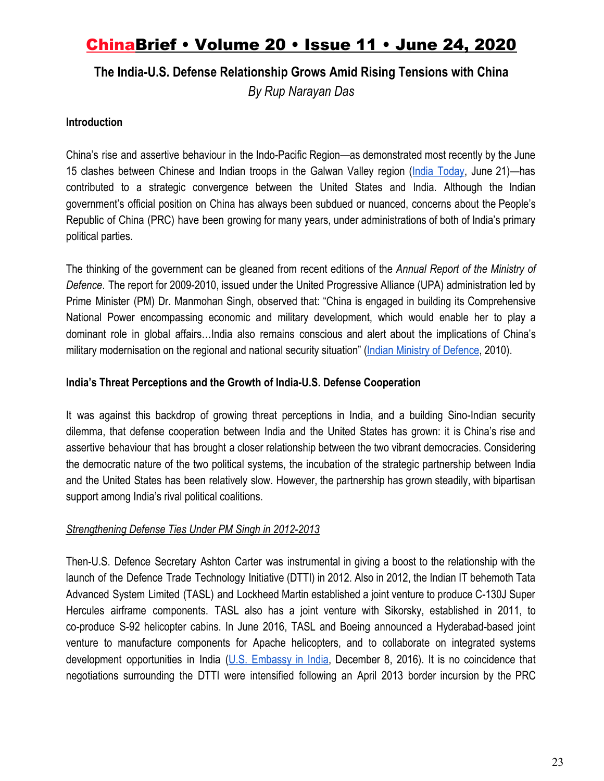### **The India-U.S. Defense Relationship Grows Amid Rising Tensions with China**

*By Rup Narayan Das*

#### **Introduction**

China's rise and assertive behaviour in the Indo-Pacific Region—as demonstrated most recently by the June 15 clashes between Chinese and Indian troops in the Galwan Valley region (India [Today](https://www.indiatoday.in/india/story/3-separate-brawls-outsider-chinese-troops-more-most-detailed-account-of-the-brutal-june-15-galwan-battle-1691185-2020-06-21), June 21)—has contributed to a strategic convergence between the United States and India. Although the Indian government's official position on China has always been subdued or nuanced, concerns about the People's Republic of China (PRC) have been growing for many years, under administrations of both of India's primary political parties.

The thinking of the government can be gleaned from recent editions of the *Annual Report of the Ministry of Defence*. The report for 2009-2010, issued under the United Progressive Alliance (UPA) administration led by Prime Minister (PM) Dr. Manmohan Singh, observed that: "China is engaged in building its Comprehensive National Power encompassing economic and military development, which would enable her to play a dominant role in global affairs…India also remains conscious and alert about the implications of China's military modernisation on the regional and national security situation" [\(Indian Ministry of Defence](https://mod.gov.in/sites/default/files/AR910.pdf), 2010).

#### **India's Threat Perceptions and the Growth of India-U.S. Defense Cooperation**

It was against this backdrop of growing threat perceptions in India, and a building Sino-Indian security dilemma, that defense cooperation between India and the United States has grown: it is China's rise and assertive behaviour that has brought a closer relationship between the two vibrant democracies. Considering the democratic nature of the two political systems, the incubation of the strategic partnership between India and the United States has been relatively slow. However, the partnership has grown steadily, with bipartisan support among India's rival political coalitions.

#### *Strengthening Defense Ties Under PM Singh in 2012-2013*

Then-U.S. Defence Secretary Ashton Carter was instrumental in giving a boost to the relationship with the launch of the Defence Trade Technology Initiative (DTTI) in 2012. Also in 2012, the Indian IT behemoth Tata Advanced System Limited (TASL) and Lockheed Martin established a joint venture to produce C-130J Super Hercules airframe components. TASL also has a joint venture with Sikorsky, established in 2011, to co-produce S-92 helicopter cabins. In June 2016, TASL and Boeing announced a Hyderabad-based joint venture to manufacture components for Apache helicopters, and to collaborate on integrated systems development opportunities in India (U.S. [Embassy](https://in.usembassy.gov/u-s-india-defense-relations-fact-sheet-december-8-2016/) in India, December 8, 2016). It is no coincidence that negotiations surrounding the DTTI were intensified following an April 2013 border incursion by the PRC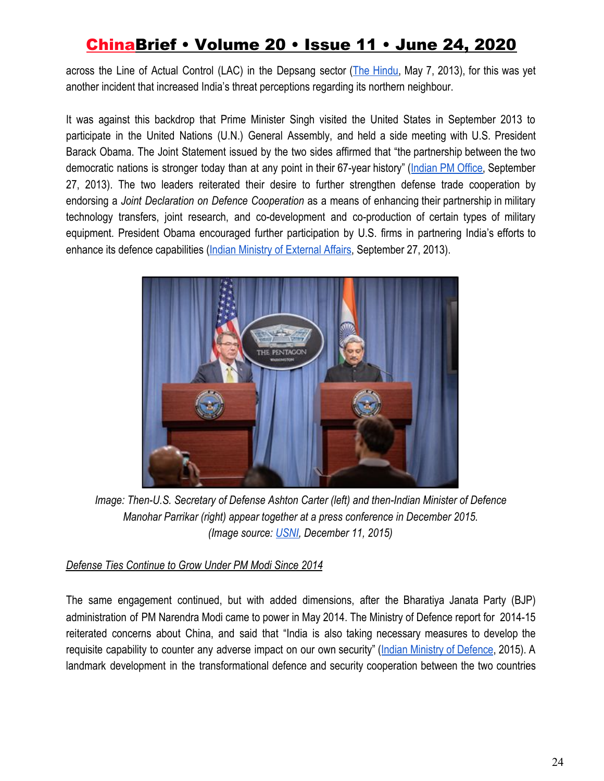across the Line of Actual Control (LAC) in the Depsang sector (The [Hindu,](https://www.thehindu.com/opinion/op-ed/making-sense-of-the-depsang-incursion/article4689838.ece) May 7, 2013), for this was yet another incident that increased India's threat perceptions regarding its northern neighbour.

It was against this backdrop that Prime Minister Singh visited the United States in September 2013 to participate in the United Nations (U.N.) General Assembly, and held a side meeting with U.S. President Barack Obama. The Joint Statement issued by the two sides affirmed that "the partnership between the two democratic nations is stronger today than at any point in their 67-year history" ([Indian](https://archivepmo.nic.in/drmanmohansingh/press-details.php?nodeid=1707) PM Office, September 27, 2013). The two leaders reiterated their desire to further strengthen defense trade cooperation by endorsing a *Joint Declaration on Defence Cooperation* as a means of enhancing their partnership in military technology transfers, joint research, and co-development and co-production of certain types of military equipment. President Obama encouraged further participation by U.S. firms in partnering India's efforts to enhance its defence capabilities [\(Indian Ministry of External Affairs](https://www.mea.gov.in/bilateral-documents.htm?dtl/22265), September 27, 2013).



*Image: Then-U.S. Secretary of Defense Ashton Carter (left) and then-Indian Minister of Defence Manohar Parrikar (right) appear together at a press conference in December 2015. (Image source: [USNI,](https://news.usni.org/2015/12/11/secdef-carter-shows-off-carrier-eisenhower-to-indian-mod-delegation-amidst-increasing-defense-cooperation) December 11, 2015)*

### *Defense Ties Continue to Grow Under PM Modi Since 2014*

The same engagement continued, but with added dimensions, after the Bharatiya Janata Party (BJP) administration of PM Narendra Modi came to power in May 2014. The Ministry of Defence report for 2014-15 reiterated concerns about China, and said that "India is also taking necessary measures to develop the requisite capability to counter any adverse impact on our own security" (Indian Ministry of [Defence](https://mod.gov.in/sites/default/files/AR1415_0.pdf), 2015). A landmark development in the transformational defence and security cooperation between the two countries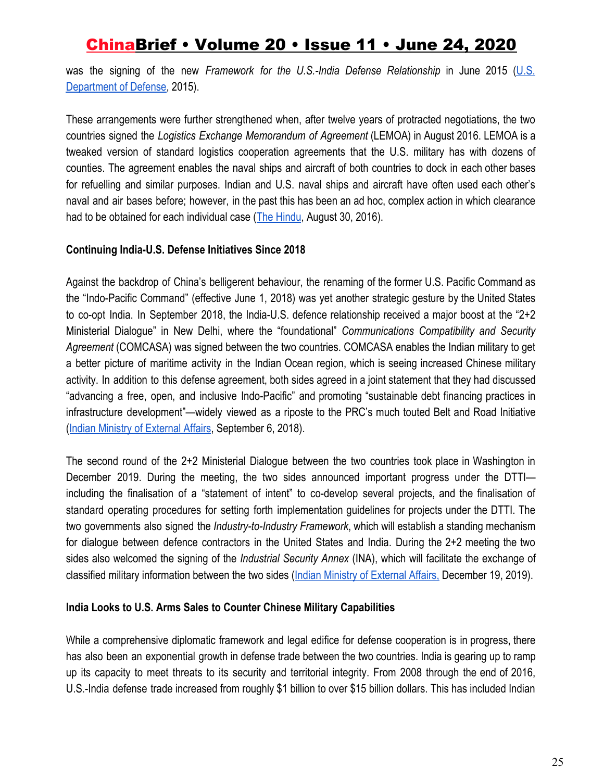was the signing of the new *Framework for the U.S.-India Defense Relationship* in June 2015 ([U.S.](https://archive.defense.gov/pubs/2015-Defense-Framework.pdf) [Department of Defense,](https://archive.defense.gov/pubs/2015-Defense-Framework.pdf) 2015).

These arrangements were further strengthened when, after twelve years of protracted negotiations, the two countries signed the *Logistics Exchange Memorandum of Agreement* (LEMOA) in August 2016. LEMOA is a tweaked version of standard logistics cooperation agreements that the U.S. military has with dozens of counties. The agreement enables the naval ships and aircraft of both countries to dock in each other bases for refuelling and similar purposes. Indian and U.S. naval ships and aircraft have often used each other's naval and air bases before; however, in the past this has been an ad hoc, complex action in which clearance had to be obtained for each individual case [\(The Hindu](https://www.thehindu.com/news/national/What-is-LEMOA/article15604647.ece), August 30, 2016).

#### **Continuing India-U.S. Defense Initiatives Since 2018**

Against the backdrop of China's belligerent behaviour, the renaming of the former U.S. Pacific Command as the "Indo-Pacific Command" (effective June 1, 2018) was yet another strategic gesture by the United States to co-opt India. In September 2018, the India-U.S. defence relationship received a major boost at the "2+2 Ministerial Dialogue" in New Delhi, where the "foundational" *Communications Compatibility and Security Agreement* (COMCASA) was signed between the two countries. COMCASA enables the Indian military to get a better picture of maritime activity in the Indian Ocean region, which is seeing increased Chinese military activity. In addition to this defense agreement, both sides agreed in a joint statement that they had discussed "advancing a free, open, and inclusive Indo-Pacific" and promoting "sustainable debt financing practices in infrastructure development"—widely viewed as a riposte to the PRC's much touted Belt and Road Initiative [\(Indian Ministry of External Affairs](https://mea.gov.in/bilateral-documents.htm?dtl/30358/Joint+Statement+on+the+Inaugural+IndiaUS+2432+Ministerial+Dialogue), September 6, 2018).

The second round of the 2+2 Ministerial Dialogue between the two countries took place in Washington in December 2019. During the meeting, the two sides announced important progress under the DTTI including the finalisation of a "statement of intent" to co-develop several projects, and the finalisation of standard operating procedures for setting forth implementation guidelines for projects under the DTTI. The two governments also signed the *Industry-to-Industry Framework*, which will establish a standing mechanism for dialogue between defence contractors in the United States and India. During the 2+2 meeting the two sides also welcomed the signing of the *Industrial Security Annex* (INA), which will facilitate the exchange of classified military information between the two sides ([Indian Ministry of External Affairs,](https://mea.gov.in/bilateral-documents.htm?dtl/32227/Joint+Statement+on+the+Second+IndiaUS+2432+Ministerial+Dialogue) December 19, 2019).

#### **India Looks to U.S. Arms Sales to Counter Chinese Military Capabilities**

While a comprehensive diplomatic framework and legal edifice for defense cooperation is in progress, there has also been an exponential growth in defense trade between the two countries. India is gearing up to ramp up its capacity to meet threats to its security and territorial integrity. From 2008 through the end of 2016, U.S.-India defense trade increased from roughly \$1 billion to over \$15 billion dollars. This has included Indian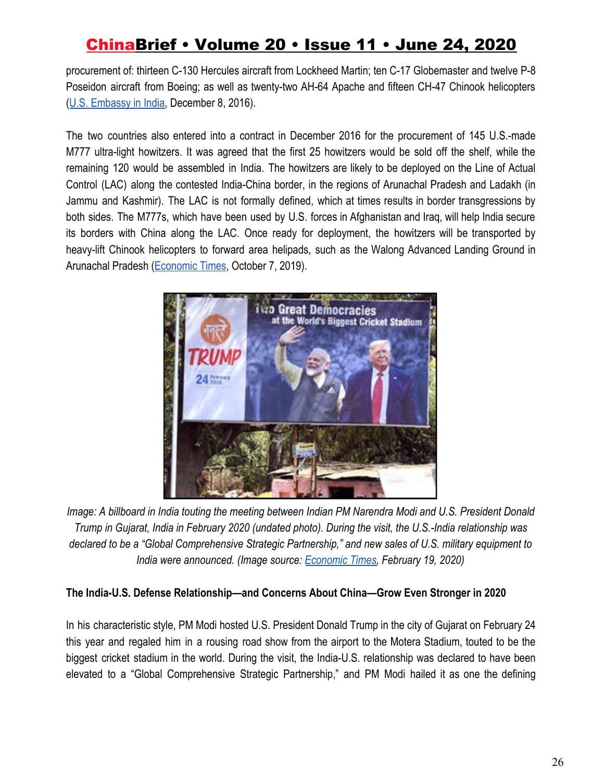procurement of: thirteen C-130 Hercules aircraft from Lockheed Martin; ten C-17 Globemaster and twelve P-8 Poseidon aircraft from Boeing; as well as twenty-two AH-64 Apache and fifteen CH-47 Chinook helicopters [\(U.S. Embassy in India](https://in.usembassy.gov/u-s-india-defense-relations-fact-sheet-december-8-2016/), December 8, 2016).

The two countries also entered into a contract in December 2016 for the procurement of 145 U.S.-made M777 ultra-light howitzers. It was agreed that the first 25 howitzers would be sold off the shelf, while the remaining 120 would be assembled in India. The howitzers are likely to be deployed on the Line of Actual Control (LAC) along the contested India-China border, in the regions of Arunachal Pradesh and Ladakh (in Jammu and Kashmir). The LAC is not formally defined, which at times results in border transgressions by both sides. The M777s, which have been used by U.S. forces in Afghanistan and Iraq, will help India secure its borders with China along the LAC. Once ready for deployment, the howitzers will be transported by heavy-lift Chinook helicopters to forward area helipads, such as the Walong Advanced Landing Ground in Arunachal Pradesh ([Economic Times,](https://economictimes.indiatimes.com/news/defence/india-plans-to-deploy-m777s-near-lac-in-arunachal-pradesh/articleshow/71472459.cms) October 7, 2019).



*Image: A billboard in India touting the meeting between Indian PM Narendra Modi and U.S. President Donald Trump in Gujarat, India in February 2020 (undated photo). During the visit, the U.S.-India relationship was declared to be a "Global Comprehensive Strategic Partnership," and new sales of U.S. military equipment to India were announced. (Image source[:](https://economictimes.indiatimes.com/news/economy/foreign-trade/trump-modi-to-discuss-trade-defence-during-feb-25-talks/articleshow/74209442.cms?from=mdr) [Economic Times,](https://economictimes.indiatimes.com/news/economy/foreign-trade/trump-modi-to-discuss-trade-defence-during-feb-25-talks/articleshow/74209442.cms?from=mdr) February 19, 2020)*

### **The India-U.S. Defense Relationship—and Concerns About China—Grow Even Stronger in 2020**

In his characteristic style, PM Modi hosted U.S. President Donald Trump in the city of Gujarat on February 24 this year and regaled him in a rousing road show from the airport to the Motera Stadium, touted to be the biggest cricket stadium in the world. During the visit, the India-U.S. relationship was declared to have been elevated to a "Global Comprehensive Strategic Partnership," and PM Modi hailed it as one the defining